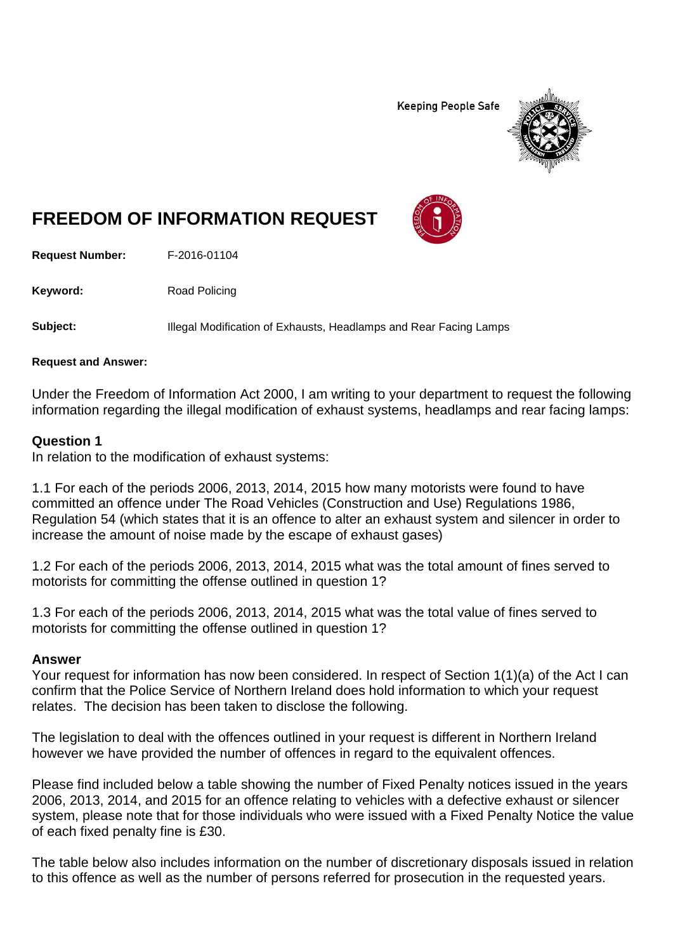**Keeping People Safe** 



# **FREEDOM OF INFORMATION REQUEST**

**Request Number:** F-2016-01104

Keyword: Road Policing

**Subject:** Illegal Modification of Exhausts, Headlamps and Rear Facing Lamps

**Request and Answer:**

Under the Freedom of Information Act 2000, I am writing to your department to request the following information regarding the illegal modification of exhaust systems, headlamps and rear facing lamps:

### **Question 1**

In relation to the modification of exhaust systems:

1.1 For each of the periods 2006, 2013, 2014, 2015 how many motorists were found to have committed an offence under The Road Vehicles (Construction and Use) Regulations 1986, Regulation 54 (which states that it is an offence to alter an exhaust system and silencer in order to increase the amount of noise made by the escape of exhaust gases)

1.2 For each of the periods 2006, 2013, 2014, 2015 what was the total amount of fines served to motorists for committing the offense outlined in question 1?

1.3 For each of the periods 2006, 2013, 2014, 2015 what was the total value of fines served to motorists for committing the offense outlined in question 1?

### **Answer**

Your request for information has now been considered. In respect of Section 1(1)(a) of the Act I can confirm that the Police Service of Northern Ireland does hold information to which your request relates. The decision has been taken to disclose the following.

The legislation to deal with the offences outlined in your request is different in Northern Ireland however we have provided the number of offences in regard to the equivalent offences.

Please find included below a table showing the number of Fixed Penalty notices issued in the years 2006, 2013, 2014, and 2015 for an offence relating to vehicles with a defective exhaust or silencer system, please note that for those individuals who were issued with a Fixed Penalty Notice the value of each fixed penalty fine is £30.

The table below also includes information on the number of discretionary disposals issued in relation to this offence as well as the number of persons referred for prosecution in the requested years.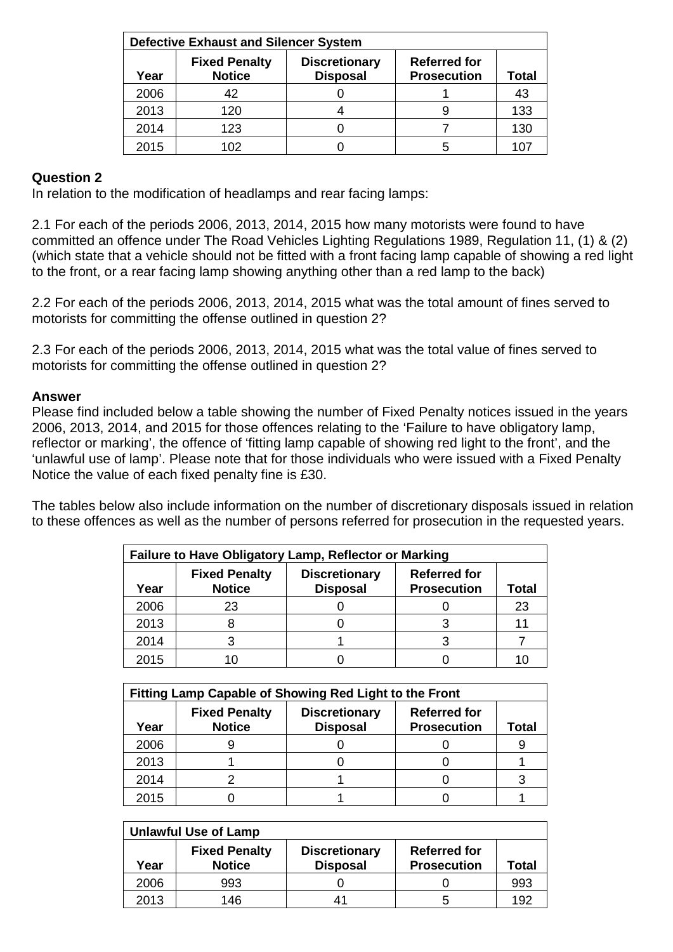| <b>Defective Exhaust and Silencer System</b> |                                       |                                         |                                           |              |  |
|----------------------------------------------|---------------------------------------|-----------------------------------------|-------------------------------------------|--------------|--|
| Year                                         | <b>Fixed Penalty</b><br><b>Notice</b> | <b>Discretionary</b><br><b>Disposal</b> | <b>Referred for</b><br><b>Prosecution</b> | <b>Total</b> |  |
| 2006                                         | 42                                    |                                         |                                           | 43           |  |
| 2013                                         | 120                                   |                                         |                                           | 133          |  |
| 2014                                         | 123                                   |                                         |                                           | 130          |  |
| 2015                                         | 102                                   |                                         |                                           |              |  |

## **Question 2**

In relation to the modification of headlamps and rear facing lamps:

2.1 For each of the periods 2006, 2013, 2014, 2015 how many motorists were found to have committed an offence under The Road Vehicles Lighting Regulations 1989, Regulation 11, (1) & (2) (which state that a vehicle should not be fitted with a front facing lamp capable of showing a red light to the front, or a rear facing lamp showing anything other than a red lamp to the back)

2.2 For each of the periods 2006, 2013, 2014, 2015 what was the total amount of fines served to motorists for committing the offense outlined in question 2?

2.3 For each of the periods 2006, 2013, 2014, 2015 what was the total value of fines served to motorists for committing the offense outlined in question 2?

#### **Answer**

Please find included below a table showing the number of Fixed Penalty notices issued in the years 2006, 2013, 2014, and 2015 for those offences relating to the 'Failure to have obligatory lamp, reflector or marking', the offence of 'fitting lamp capable of showing red light to the front', and the 'unlawful use of lamp'. Please note that for those individuals who were issued with a Fixed Penalty Notice the value of each fixed penalty fine is £30.

The tables below also include information on the number of discretionary disposals issued in relation to these offences as well as the number of persons referred for prosecution in the requested years.

| Failure to Have Obligatory Lamp, Reflector or Marking |                                       |                                         |                                           |       |
|-------------------------------------------------------|---------------------------------------|-----------------------------------------|-------------------------------------------|-------|
| Year                                                  | <b>Fixed Penalty</b><br><b>Notice</b> | <b>Discretionary</b><br><b>Disposal</b> | <b>Referred for</b><br><b>Prosecution</b> | Total |
| 2006                                                  | 23                                    |                                         |                                           | 23    |
| 2013                                                  |                                       |                                         |                                           | 11    |
| 2014                                                  |                                       |                                         |                                           |       |
| 2015                                                  |                                       |                                         |                                           |       |

| Fitting Lamp Capable of Showing Red Light to the Front |                                       |                                         |                                           |       |  |
|--------------------------------------------------------|---------------------------------------|-----------------------------------------|-------------------------------------------|-------|--|
| Year                                                   | <b>Fixed Penalty</b><br><b>Notice</b> | <b>Discretionary</b><br><b>Disposal</b> | <b>Referred for</b><br><b>Prosecution</b> | Total |  |
| 2006                                                   |                                       |                                         |                                           |       |  |
| 2013                                                   |                                       |                                         |                                           |       |  |
| 2014                                                   |                                       |                                         |                                           |       |  |
| 2015                                                   |                                       |                                         |                                           |       |  |

| <b>Unlawful Use of Lamp</b> |                                       |                                         |                                           |       |
|-----------------------------|---------------------------------------|-----------------------------------------|-------------------------------------------|-------|
| Year                        | <b>Fixed Penalty</b><br><b>Notice</b> | <b>Discretionary</b><br><b>Disposal</b> | <b>Referred for</b><br><b>Prosecution</b> | Total |
| 2006                        | 993                                   |                                         |                                           | 993   |
| 2013                        | 146                                   | 41                                      | ∽                                         | 192   |